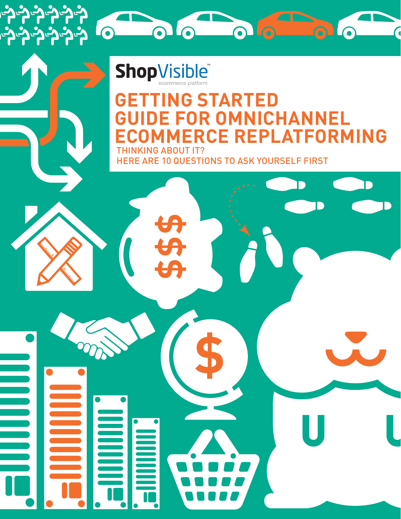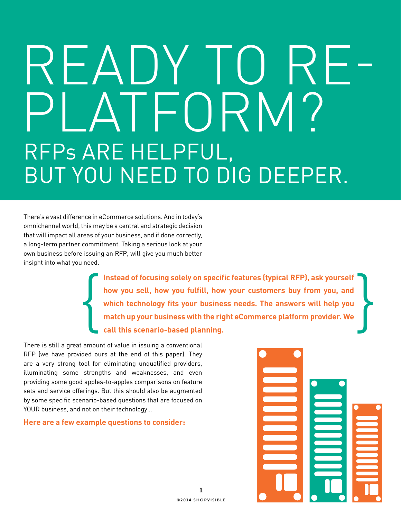# READY TO RE-<br>PLATFORM? RFPs are helpful, but you need to dig deeper.

There's a vast difference in eCommerce solutions. And in today's omnichannel world, this may be a central and strategic decision that will impact all areas of your business, and if done correctly, a long-term partner commitment. Taking a serious look at your own business before issuing an RFP, will give you much better insight into what you need.

> **Instead of focusing solely on specific features (typical RFP), ask yourself how you sell, how you fulfill, how your customers buy from you, and which technology fits your business needs. The answers will help you match up your business with the right eCommerce platform provider. We call this scenario-based planning.** Instead of focusing solely on specific features (typical RFP), ask yourself<br>how you sell, how you fulfill, how your customers buy from you, and<br>which technology fits your business needs. The answers will help you<br>match up

There is still a great amount of value in issuing a conventional RFP (we have provided ours at the end of this paper). They are a very strong tool for eliminating unqualified providers, illuminating some strengths and weaknesses, and even providing some good apples-to-apples comparisons on feature sets and service offerings. But this should also be augmented by some specific scenario-based questions that are focused on YOUR business, and not on their technology…

#### **Here are a few example questions to consider:**

**1 ©2014 shopvisible**

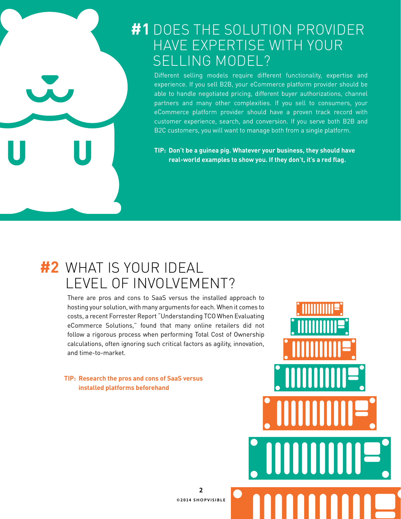#### #1 DOES THE SOLUTION PROVIDEF have expertise with your selling model?

Different selling models require different functionality, expertise and experience. If you sell B2B, your eCommerce platform provider should be able to handle negotiated pricing, different buyer authorizations, channel partners and many other complexities. If you sell to consumers, your eCommerce platform provider should have a proven track record with customer experience, search, and conversion. If you serve both B2B and B2C customers, you will want to manage both from a single platform.

**TIP: Don't be a guinea pig. Whatever your business, they should have real-world examples to show you. If they don't, it's a red flag.**

#### what is your ideal **#2**level of involvement?

There are pros and cons to SaaS versus the installed approach to hosting your solution, with many arguments for each. When it comes to costs, a recent Forrester Report "Understanding TCO When Evaluating eCommerce Solutions," found that many online retailers did not follow a rigorous process when performing Total Cost of Ownership calculations, often ignoring such critical factors as agility, innovation, and time-to-market.

**TIP: Research the pros and cons of SaaS versus installed platforms beforehand**



**2 ©2014 shopvisible**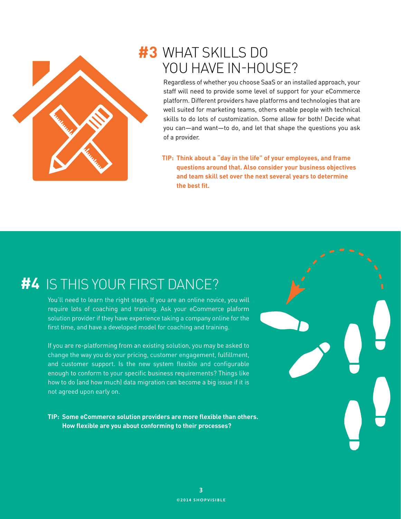

#### what skills do **#3** you have in-house?

Regardless of whether you choose SaaS or an installed approach, your staff will need to provide some level of support for your eCommerce platform. Different providers have platforms and technologies that are well suited for marketing teams, others enable people with technical skills to do lots of customization. Some allow for both! Decide what you can—and want—to do, and let that shape the questions you ask of a provider.

**TIP: Think about a "day in the life" of your employees, and frame questions around that. Also consider your business objectives and team skill set over the next several years to determine the best fit.** 

#### #4 IS THIS YOUR FIRST DANCE?

You'll need to learn the right steps. If you are an online novice, you will require lots of coaching and training. Ask your eCommerce plaform solution provider if they have experience taking a company online for the first time, and have a developed model for coaching and training.

If you are re-platforming from an existing solution, you may be asked to change the way you do your pricing, customer engagement, fulfillment, and customer support. Is the new system flexible and configurable enough to conform to your specific business requirements? Things like how to do (and how much) data migration can become a big issue if it is not agreed upon early on.

**TIP: Some eCommerce solution providers are more flexible than others. How flexible are you about conforming to their processes?**

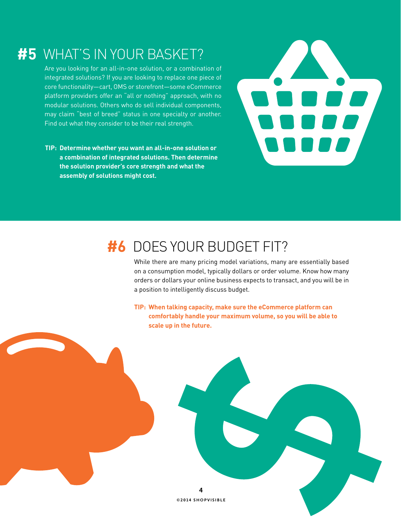#### #5 WHAT'S IN YOUR BASKET?

Are you looking for an all-in-one solution, or a combination of integrated solutions? If you are looking to replace one piece of core functionality—cart, OMS or storefront—some eCommerce platform providers offer an "all or nothing" approach, with no modular solutions. Others who do sell individual components, may claim "best of breed" status in one specialty or another. Find out what they consider to be their real strength.

**TIP: Determine whether you want an all-in-one solution or a combination of integrated solutions. Then determine the solution provider's core strength and what the assembly of solutions might cost.**



#### **#6** DOES YOUR BUDGET FIT?

While there are many pricing model variations, many are essentially based on a consumption model, typically dollars or order volume. Know how many orders or dollars your online business expects to transact, and you will be in a position to intelligently discuss budget.

**TIP: When talking capacity, make sure the eCommerce platform can comfortably handle your maximum volume, so you will be able to scale up in the future.**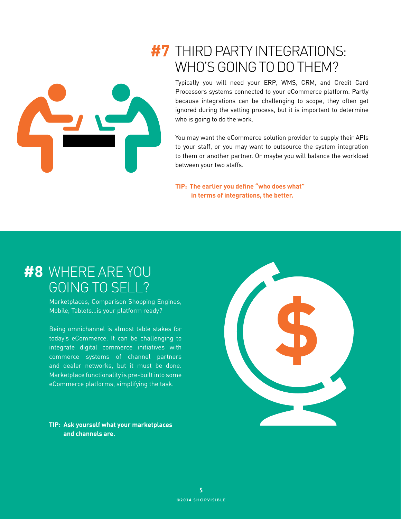

#### **#7** THIRD PARTY INTEGRATIONS: who's going to do them?

Typically you will need your ERP, WMS, CRM, and Credit Card Processors systems connected to your eCommerce platform. Partly because integrations can be challenging to scope, they often get ignored during the vetting process, but it is important to determine who is going to do the work.

You may want the eCommerce solution provider to supply their APIs to your staff, or you may want to outsource the system integration to them or another partner. Or maybe you will balance the workload between your two staffs.

**TIP: The earlier you define "who does what" in terms of integrations, the better.** 

#### where are you **#8** going to sell?

Marketplaces, Comparison Shopping Engines, Mobile, Tablets…is your platform ready?

Being omnichannel is almost table stakes for today's eCommerce. It can be challenging to integrate digital commerce initiatives with commerce systems of channel partners and dealer networks, but it must be done. Marketplace functionality is pre-built into some eCommerce platforms, simplifying the task.

**TIP: Ask yourself what your marketplaces and channels are.**

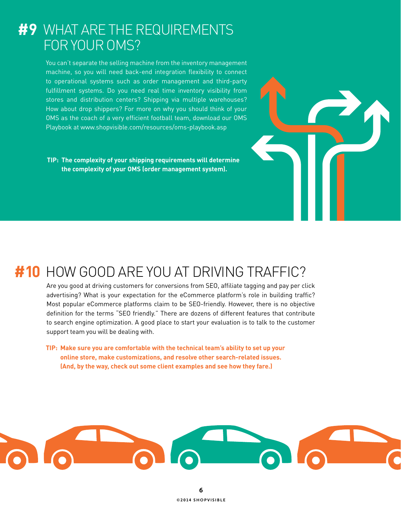#### what are the requirements **#9** for your oms?

You can't separate the selling machine from the inventory management machine, so you will need back-end integration flexibility to connect to operational systems such as order management and third-party fulfillment systems. Do you need real time inventory visibility from stores and distribution centers? Shipping via multiple warehouses? How about drop shippers? For more on why you should think of your OMS as the coach of a very efficient football team, download our OMS Playbook at www.shopvisible.com/resources/oms-playbook.asp

**TIP: The complexity of your shipping requirements will determine the complexity of your OMS (order management system).**

### #10 HOW GOOD ARE YOU AT DRIVING TRAFFIC?

Are you good at driving customers for conversions from SEO, affiliate tagging and pay per click advertising? What is your expectation for the eCommerce platform's role in building traffic? Most popular eCommerce platforms claim to be SEO-friendly. However, there is no objective definition for the terms "SEO friendly." There are dozens of different features that contribute to search engine optimization. A good place to start your evaluation is to talk to the customer support team you will be dealing with.

**TIP: Make sure you are comfortable with the technical team's ability to set up your online store, make customizations, and resolve other search-related issues. (And, by the way, check out some client examples and see how they fare.)**